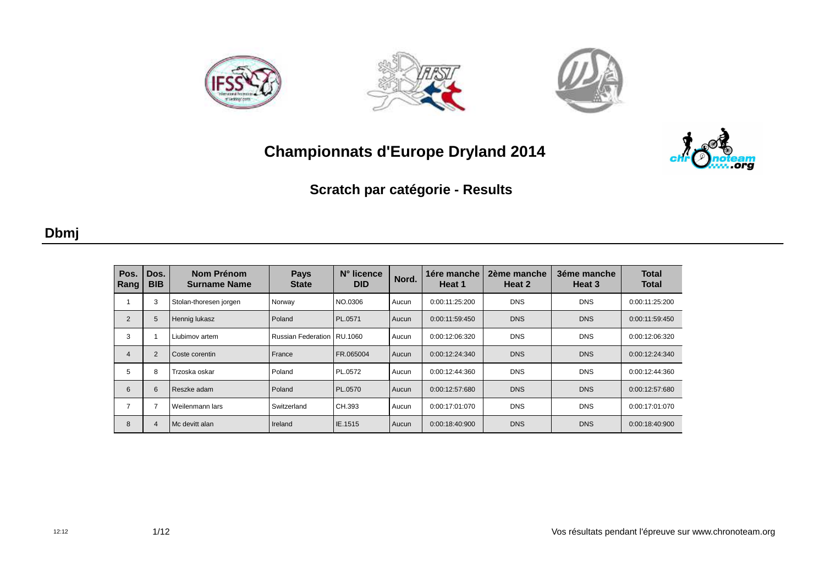







**Scratch par catégorie - Results**

### **Dbmj**

| Pos.<br>Rang   | Dos.<br><b>BIB</b> | Nom Prénom<br><b>Surname Name</b> | <b>Pays</b><br><b>State</b>  | N° licence<br><b>DID</b> | Nord. | 1ére manche<br>Heat 1 | 2ème manche<br>Heat 2 | 3éme manche<br>Heat 3 | <b>Total</b><br><b>Total</b> |
|----------------|--------------------|-----------------------------------|------------------------------|--------------------------|-------|-----------------------|-----------------------|-----------------------|------------------------------|
|                |                    | Stolan-thoresen jorgen            | Norway                       | NO.0306                  | Aucun | 0:00:11:25:200        | <b>DNS</b>            | <b>DNS</b>            | 0:00:11:25:200               |
| 2              | 5                  | Hennig lukasz                     | Poland                       | PL.0571                  | Aucun | 0:00:11:59:450        | <b>DNS</b>            | <b>DNS</b>            | 0:00:11:59:450               |
| 3              |                    | Liubimov artem                    | Russian Federation   RU.1060 |                          | Aucun | 0:00:12:06:320        | <b>DNS</b>            | <b>DNS</b>            | 0:00:12:06:320               |
| $\overline{4}$ | 2                  | Coste corentin                    | France                       | FR.065004                | Aucun | 0:00:12:24:340        | <b>DNS</b>            | <b>DNS</b>            | 0:00:12:24:340               |
| 5              | 8                  | Trzoska oskar                     | Poland                       | PL.0572                  | Aucun | 0:00:12:44:360        | <b>DNS</b>            | <b>DNS</b>            | 0:00:12:44:360               |
| 6              | 6                  | Reszke adam                       | <b>Poland</b>                | PL.0570                  | Aucun | 0:00:12:57:680        | <b>DNS</b>            | <b>DNS</b>            | 0:00:12:57:680               |
| 7              |                    | Weilenmann lars                   | Switzerland                  | CH.393                   | Aucun | 0:00:17:01:070        | <b>DNS</b>            | <b>DNS</b>            | 0:00:17:01:070               |
| 8              |                    | Mc devitt alan                    | Ireland                      | IE.1515                  | Aucun | 0:00:18:40:900        | <b>DNS</b>            | <b>DNS</b>            | 0:00:18:40:900               |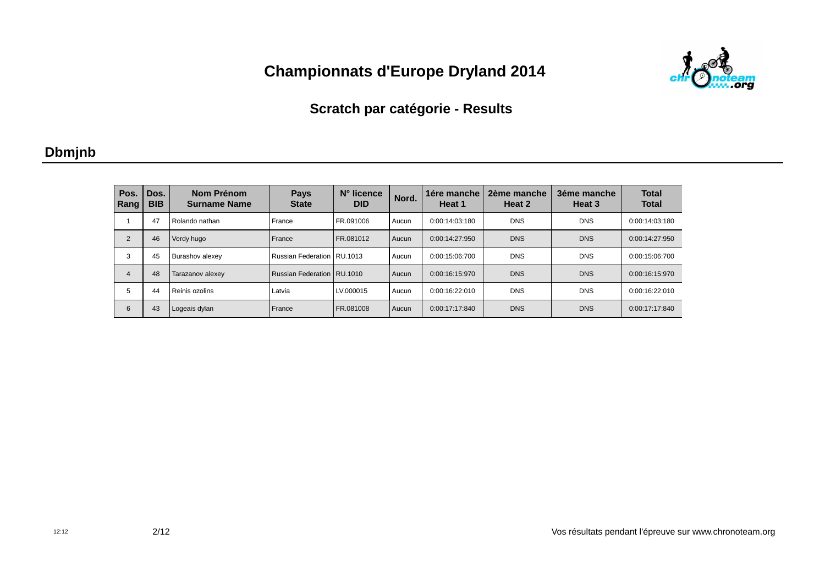

### **Scratch par catégorie - Results**

### **Dbmjnb**

| Pos.<br>Rang   | Dos.<br><b>BIB</b> | Nom Prénom<br><b>Surname Name</b> | <b>Pays</b><br><b>State</b>  | N° licence<br><b>DID</b> | Nord. | 1ére manche<br>Heat 1 | 2ème manche<br>Heat 2 | 3éme manche<br>Heat 3 | <b>Total</b><br><b>Total</b> |
|----------------|--------------------|-----------------------------------|------------------------------|--------------------------|-------|-----------------------|-----------------------|-----------------------|------------------------------|
|                | 47                 | Rolando nathan                    | France                       | FR.091006                | Aucun | 0:00:14:03:180        | <b>DNS</b>            | <b>DNS</b>            | 0:00:14:03:180               |
| $\overline{2}$ | 46                 | Verdy hugo                        | France                       | FR.081012                | Aucun | 0:00:14:27:950        | <b>DNS</b>            | <b>DNS</b>            | 0:00:14:27:950               |
| 3              | 45                 | Burashov alexey                   | Russian Federation   RU.1013 |                          | Aucun | 0:00:15:06:700        | <b>DNS</b>            | <b>DNS</b>            | 0:00:15:06:700               |
| $\overline{4}$ | 48                 | Tarazanov alexey                  | Russian Federation   RU.1010 |                          | Aucun | 0:00:16:15:970        | <b>DNS</b>            | <b>DNS</b>            | 0:00:16:15:970               |
| 5              | 44                 | Reinis ozolins                    | Latvia                       | LV.000015                | Aucun | 0:00:16:22:010        | <b>DNS</b>            | <b>DNS</b>            | 0:00:16:22:010               |
| 6              | 43                 | Logeais dylan                     | France                       | FR.081008                | Aucun | 0:00:17:17:840        | <b>DNS</b>            | <b>DNS</b>            | 0:00:17:17:840               |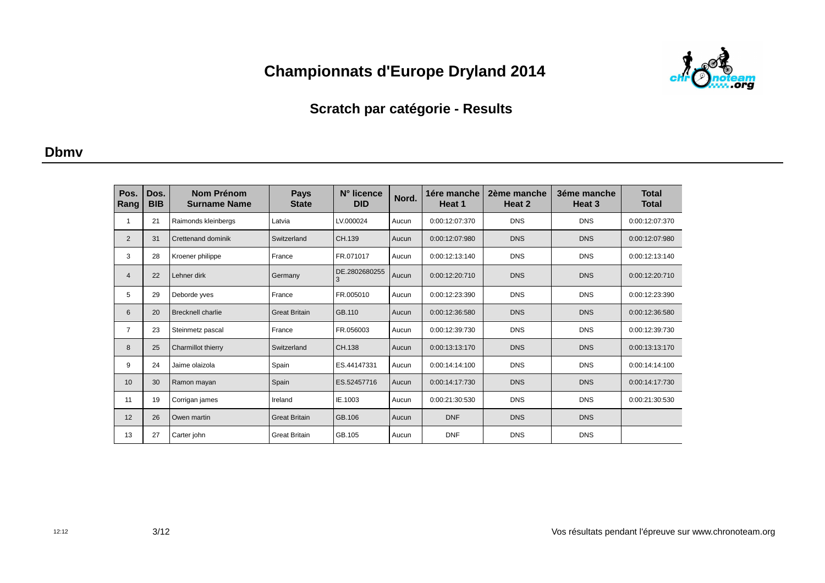

### **Scratch par catégorie - Results**

#### **Dbmv**

| Pos.<br>Rang   | Dos.<br><b>BIB</b> | <b>Nom Prénom</b><br><b>Surname Name</b> | <b>Pays</b><br><b>State</b> | N° licence<br><b>DID</b> | Nord. | 1ére manche<br>Heat 1 | 2ème manche<br>Heat 2 | 3éme manche<br>Heat 3 | <b>Total</b><br><b>Total</b> |
|----------------|--------------------|------------------------------------------|-----------------------------|--------------------------|-------|-----------------------|-----------------------|-----------------------|------------------------------|
| 1              | 21                 | Raimonds kleinbergs                      | Latvia                      | LV.000024                | Aucun | 0:00:12:07:370        | <b>DNS</b>            | <b>DNS</b>            | 0:00:12:07:370               |
| 2              | 31                 | Crettenand dominik                       | Switzerland                 | CH.139                   | Aucun | 0:00:12:07:980        | <b>DNS</b>            | <b>DNS</b>            | 0:00:12:07:980               |
| 3              | 28                 | Kroener philippe                         | France                      | FR.071017                | Aucun | 0:00:12:13:140        | <b>DNS</b>            | <b>DNS</b>            | 0:00:12:13:140               |
| $\overline{4}$ | 22                 | Lehner dirk                              | Germany                     | DE.2802680255<br>3       | Aucun | 0:00:12:20:710        | <b>DNS</b>            | <b>DNS</b>            | 0:00:12:20:710               |
| 5              | 29                 | Deborde yves                             | France                      | FR.005010                | Aucun | 0:00:12:23:390        | <b>DNS</b>            | <b>DNS</b>            | 0:00:12:23:390               |
| 6              | 20                 | <b>Brecknell charlie</b>                 | <b>Great Britain</b>        | GB.110                   | Aucun | 0:00:12:36:580        | <b>DNS</b>            | <b>DNS</b>            | 0:00:12:36:580               |
| 7              | 23                 | Steinmetz pascal                         | France                      | FR.056003                | Aucun | 0:00:12:39:730        | <b>DNS</b>            | <b>DNS</b>            | 0:00:12:39:730               |
| 8              | 25                 | Charmillot thierry                       | Switzerland                 | CH.138                   | Aucun | 0:00:13:13:170        | <b>DNS</b>            | <b>DNS</b>            | 0:00:13:13:170               |
| 9              | 24                 | Jaime olaizola                           | Spain                       | ES.44147331              | Aucun | 0:00:14:14:100        | <b>DNS</b>            | <b>DNS</b>            | 0:00:14:14:100               |
| 10             | 30                 | Ramon mayan                              | Spain                       | ES.52457716              | Aucun | 0:00:14:17:730        | <b>DNS</b>            | <b>DNS</b>            | 0:00:14:17:730               |
| 11             | 19                 | Corrigan james                           | Ireland                     | IE.1003                  | Aucun | 0:00:21:30:530        | <b>DNS</b>            | <b>DNS</b>            | 0:00:21:30:530               |
| 12             | 26                 | Owen martin                              | <b>Great Britain</b>        | GB.106                   | Aucun | <b>DNF</b>            | <b>DNS</b>            | <b>DNS</b>            |                              |
| 13             | 27                 | Carter john                              | <b>Great Britain</b>        | GB.105                   | Aucun | <b>DNF</b>            | <b>DNS</b>            | <b>DNS</b>            |                              |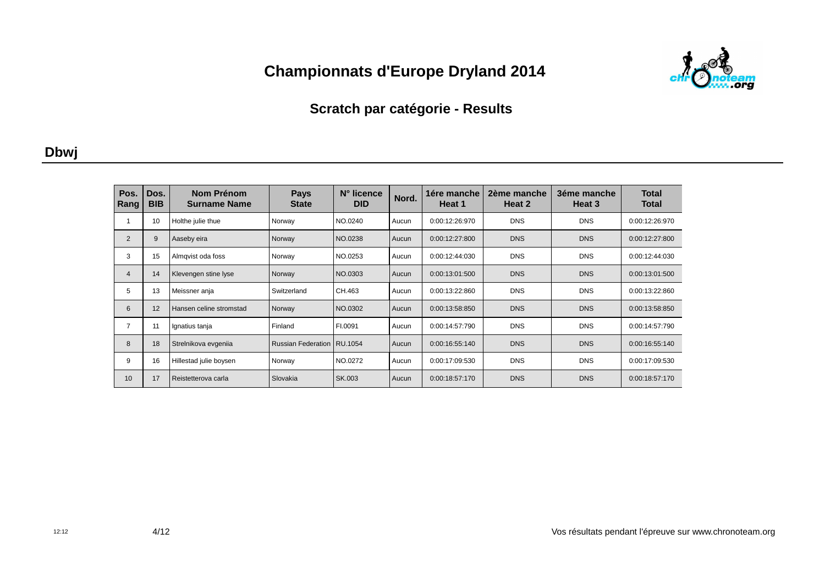

### **Scratch par catégorie - Results**

#### **Dbwj**

| Pos.<br>Rang   | Dos.<br><b>BIB</b> | Nom Prénom<br><b>Surname Name</b> | <b>Pays</b><br><b>State</b>  | N° licence<br><b>DID</b> | Nord. | 1ére manche<br>Heat 1 | 2ème manche<br>Heat 2 | 3éme manche<br>Heat 3 | <b>Total</b><br>Total |
|----------------|--------------------|-----------------------------------|------------------------------|--------------------------|-------|-----------------------|-----------------------|-----------------------|-----------------------|
|                | 10                 | Holthe julie thue                 | Norway                       | NO.0240                  | Aucun | 0:00:12:26:970        | <b>DNS</b>            | <b>DNS</b>            | 0:00:12:26:970        |
| 2              | 9                  | Aaseby eira                       | Norway                       | NO.0238                  | Aucun | 0:00:12:27:800        | <b>DNS</b>            | <b>DNS</b>            | 0:00:12:27:800        |
| 3              | 15                 | Almgvist oda foss                 | Norway                       | NO.0253                  | Aucun | 0:00:12:44:030        | <b>DNS</b>            | <b>DNS</b>            | 0:00:12:44:030        |
| $\overline{4}$ | 14                 | Klevengen stine lyse              | Norway                       | NO.0303                  | Aucun | 0:00:13:01:500        | <b>DNS</b>            | <b>DNS</b>            | 0:00:13:01:500        |
| 5              | 13                 | Meissner anja                     | Switzerland                  | CH.463                   | Aucun | 0:00:13:22:860        | <b>DNS</b>            | <b>DNS</b>            | 0:00:13:22:860        |
| 6              | 12                 | Hansen celine stromstad           | Norway                       | NO.0302                  | Aucun | 0:00:13:58:850        | <b>DNS</b>            | <b>DNS</b>            | 0:00:13:58:850        |
| $\overline{7}$ | 11                 | Ignatius tanja                    | Finland                      | FI.0091                  | Aucun | 0:00:14:57:790        | <b>DNS</b>            | <b>DNS</b>            | 0:00:14:57:790        |
| 8              | 18                 | Strelnikova evgenija              | Russian Federation   RU.1054 |                          | Aucun | 0:00:16:55:140        | <b>DNS</b>            | <b>DNS</b>            | 0:00:16:55:140        |
| 9              | 16                 | Hillestad julie boysen            | Norway                       | NO.0272                  | Aucun | 0:00:17:09:530        | <b>DNS</b>            | <b>DNS</b>            | 0:00:17:09:530        |
| 10             | 17                 | Reistetterova carla               | Slovakia                     | SK.003                   | Aucun | 0:00:18:57:170        | <b>DNS</b>            | <b>DNS</b>            | 0:00:18:57:170        |

Vos résultats pendant l'épreuve sur www.chronoteam.org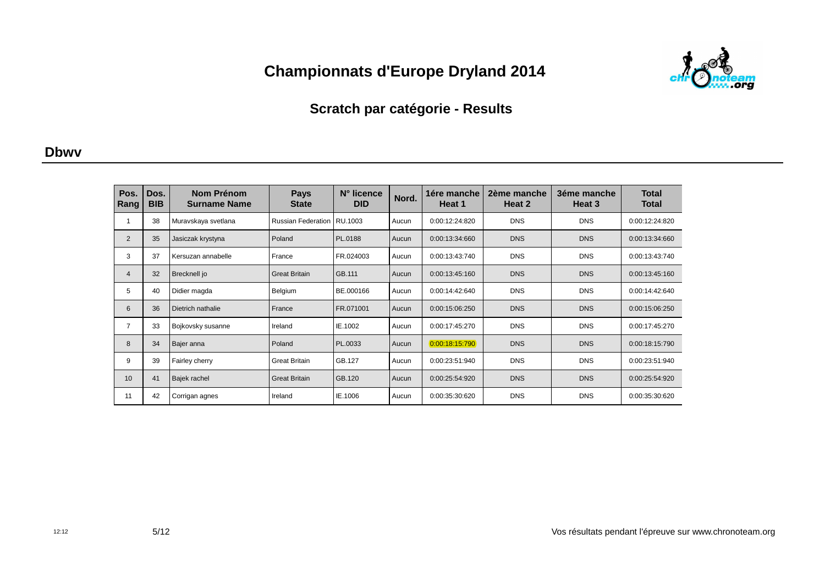

### **Scratch par catégorie - Results**

#### **Dbwv**

| Pos.<br>Rang   | Dos.<br><b>BIB</b> | Nom Prénom<br><b>Surname Name</b> | <b>Pays</b><br><b>State</b> | N° licence<br><b>DID</b> | Nord. | 1ére manche<br>Heat 1 | 2ème manche<br>Heat 2 | 3éme manche<br>Heat 3 | <b>Total</b><br>Total |
|----------------|--------------------|-----------------------------------|-----------------------------|--------------------------|-------|-----------------------|-----------------------|-----------------------|-----------------------|
| 1              | 38                 | Muravskaya svetlana               | <b>Russian Federation</b>   | RU.1003                  | Aucun | 0:00:12:24:820        | <b>DNS</b>            | <b>DNS</b>            | 0:00:12:24:820        |
| $\overline{2}$ | 35                 | Jasiczak krystyna                 | Poland                      | PL.0188                  | Aucun | 0:00:13:34:660        | <b>DNS</b>            | <b>DNS</b>            | 0:00:13:34:660        |
| 3              | 37                 | Kersuzan annabelle                | France                      | FR.024003                | Aucun | 0:00:13:43:740        | <b>DNS</b>            | <b>DNS</b>            | 0:00:13:43:740        |
| $\overline{4}$ | 32                 | Brecknell jo                      | <b>Great Britain</b>        | GB.111                   | Aucun | 0:00:13:45:160        | <b>DNS</b>            | <b>DNS</b>            | 0:00:13:45:160        |
| 5              | 40                 | Didier magda                      | Belgium                     | BE.000166                | Aucun | 0:00:14:42:640        | <b>DNS</b>            | <b>DNS</b>            | 0:00:14:42:640        |
| 6              | 36                 | Dietrich nathalie                 | France                      | FR.071001                | Aucun | 0:00:15:06:250        | <b>DNS</b>            | <b>DNS</b>            | 0:00:15:06:250        |
| 7              | 33                 | Bojkovsky susanne                 | Ireland                     | IE.1002                  | Aucun | 0:00:17:45:270        | <b>DNS</b>            | <b>DNS</b>            | 0:00:17:45:270        |
| 8              | 34                 | Bajer anna                        | Poland                      | PL.0033                  | Aucun | 0:00:18:15:790        | <b>DNS</b>            | <b>DNS</b>            | 0:00:18:15:790        |
| 9              | 39                 | Fairley cherry                    | <b>Great Britain</b>        | GB.127                   | Aucun | 0:00:23:51:940        | <b>DNS</b>            | <b>DNS</b>            | 0:00:23:51:940        |
| 10             | 41                 | Bajek rachel                      | <b>Great Britain</b>        | GB.120                   | Aucun | 0:00:25:54:920        | <b>DNS</b>            | <b>DNS</b>            | 0:00:25:54:920        |
| 11             | 42                 | Corrigan agnes                    | Ireland                     | IE.1006                  | Aucun | 0:00:35:30:620        | <b>DNS</b>            | <b>DNS</b>            | 0:00:35:30:620        |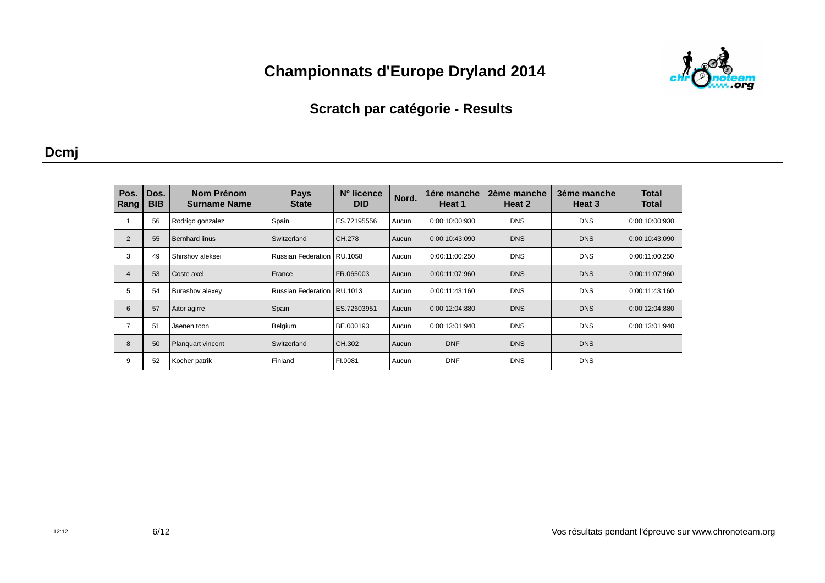

### **Scratch par catégorie - Results**

#### **Dcmj**

| Pos.<br>Rang   | Dos.<br><b>BIB</b> | Nom Prénom<br><b>Surname Name</b> | <b>Pays</b><br><b>State</b>  | N° licence<br><b>DID</b> | Nord. | 1ére manche<br>Heat 1 | 2ème manche<br>Heat 2 | 3éme manche<br>Heat 3 | <b>Total</b><br><b>Total</b> |
|----------------|--------------------|-----------------------------------|------------------------------|--------------------------|-------|-----------------------|-----------------------|-----------------------|------------------------------|
|                | 56                 | Rodrigo gonzalez                  | Spain                        | ES.72195556              | Aucun | 0:00:10:00:930        | <b>DNS</b>            | <b>DNS</b>            | 0:00:10:00:930               |
| $\overline{2}$ | 55                 | <b>Bernhard linus</b>             | Switzerland                  | CH.278                   | Aucun | 0:00:10:43:090        | <b>DNS</b>            | <b>DNS</b>            | 0:00:10:43:090               |
| 3              | 49                 | Shirshov aleksei                  | Russian Federation   RU.1058 |                          | Aucun | 0:00:11:00:250        | <b>DNS</b>            | <b>DNS</b>            | 0:00:11:00:250               |
| $\overline{4}$ | 53                 | Coste axel                        | France                       | FR.065003                | Aucun | 0:00:11:07:960        | <b>DNS</b>            | <b>DNS</b>            | 0:00:11:07:960               |
| 5              | 54                 | Burashov alexey                   | Russian Federation   RU.1013 |                          | Aucun | 0:00:11:43:160        | <b>DNS</b>            | <b>DNS</b>            | 0:00:11:43:160               |
| 6              | 57                 | Aitor agirre                      | Spain                        | ES.72603951              | Aucun | 0:00:12:04:880        | <b>DNS</b>            | <b>DNS</b>            | 0:00:12:04:880               |
| 7              | 51                 | Jaenen toon                       | Belgium                      | BE.000193                | Aucun | 0:00:13:01:940        | <b>DNS</b>            | <b>DNS</b>            | 0:00:13:01:940               |
| 8              | 50                 | <b>Planguart vincent</b>          | Switzerland                  | CH.302                   | Aucun | <b>DNF</b>            | <b>DNS</b>            | <b>DNS</b>            |                              |
| 9              | 52                 | Kocher patrik                     | Finland                      | FI.0081                  | Aucun | <b>DNF</b>            | <b>DNS</b>            | <b>DNS</b>            |                              |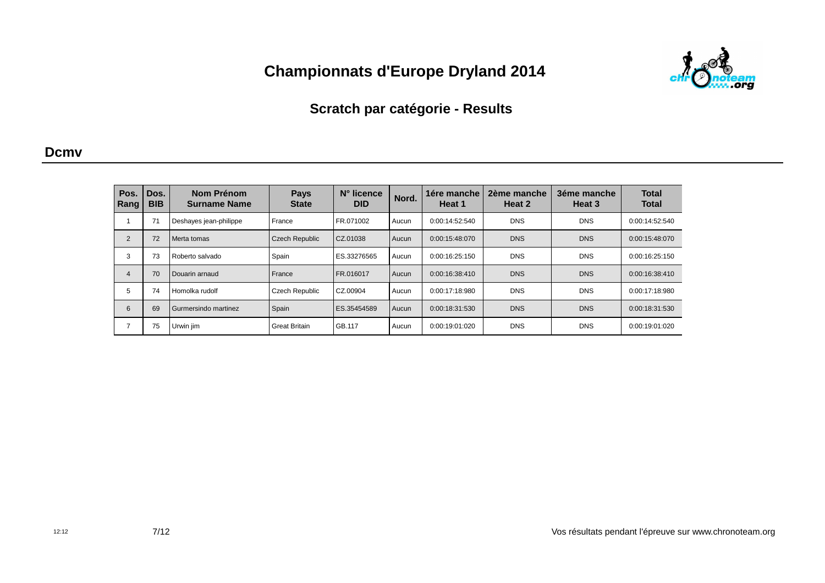

### **Scratch par catégorie - Results**

#### **Dcmv**

| Pos.<br>Rang   | Dos.<br><b>BIB</b> | Nom Prénom<br><b>Surname Name</b> | <b>Pays</b><br><b>State</b> | N° licence<br><b>DID</b> | Nord. | 1ére manche<br>Heat 1 | 2ème manche<br>Heat 2 | 3éme manche<br>Heat 3 | <b>Total</b><br><b>Total</b> |
|----------------|--------------------|-----------------------------------|-----------------------------|--------------------------|-------|-----------------------|-----------------------|-----------------------|------------------------------|
|                | 71                 | Deshayes jean-philippe            | France                      | FR.071002                | Aucun | 0:00:14:52:540        | <b>DNS</b>            | <b>DNS</b>            | 0:00:14:52:540               |
| 2              | 72                 | Merta tomas                       | Czech Republic              | CZ.01038                 | Aucun | 0:00:15:48:070        | <b>DNS</b>            | <b>DNS</b>            | 0:00:15:48:070               |
| 3              | 73                 | Roberto salvado                   | Spain                       | ES.33276565              | Aucun | 0:00:16:25:150        | <b>DNS</b>            | <b>DNS</b>            | 0:00:16:25:150               |
| $\overline{4}$ | 70                 | Douarin arnaud                    | France                      | FR.016017                | Aucun | 0:00:16:38:410        | <b>DNS</b>            | <b>DNS</b>            | 0:00:16:38:410               |
| 5              | 74                 | Homolka rudolf                    | Czech Republic              | CZ.00904                 | Aucun | 0:00:17:18:980        | <b>DNS</b>            | <b>DNS</b>            | 0:00:17:18:980               |
| 6              | 69                 | Gurmersindo martinez              | Spain                       | ES.35454589              | Aucun | 0:00:18:31:530        | <b>DNS</b>            | <b>DNS</b>            | 0:00:18:31:530               |
| $\overline{7}$ | 75                 | Urwin jim                         | <b>Great Britain</b>        | GB.117                   | Aucun | 0:00:19:01:020        | <b>DNS</b>            | <b>DNS</b>            | 0:00:19:01:020               |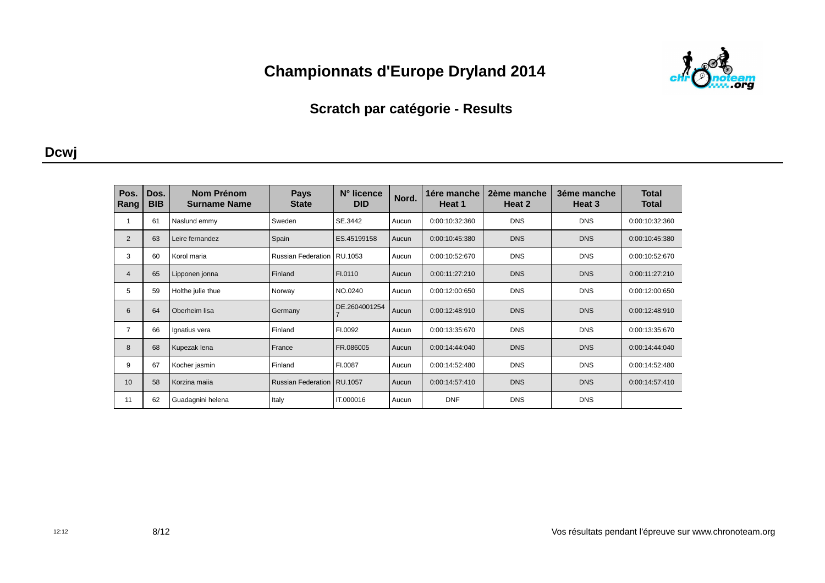

### **Scratch par catégorie - Results**

#### **Dcwj**

| Pos.<br>Rang   | Dos.<br><b>BIB</b> | Nom Prénom<br><b>Surname Name</b> | <b>Pays</b><br><b>State</b> | N° licence<br><b>DID</b> | Nord. | 1ére manche<br>Heat 1 | 2ème manche<br>Heat 2 | 3éme manche<br>Heat 3 | <b>Total</b><br>Total |
|----------------|--------------------|-----------------------------------|-----------------------------|--------------------------|-------|-----------------------|-----------------------|-----------------------|-----------------------|
| 1              | 61                 | Naslund emmy                      | Sweden                      | SE.3442                  | Aucun | 0:00:10:32:360        | <b>DNS</b>            | <b>DNS</b>            | 0:00:10:32:360        |
| $\overline{2}$ | 63                 | Leire fernandez                   | Spain                       | ES.45199158              | Aucun | 0:00:10:45:380        | <b>DNS</b>            | <b>DNS</b>            | 0:00:10:45:380        |
| 3              | 60                 | Korol maria                       | <b>Russian Federation</b>   | RU.1053                  | Aucun | 0:00:10:52:670        | <b>DNS</b>            | <b>DNS</b>            | 0:00:10:52:670        |
| $\overline{4}$ | 65                 | Lipponen jonna                    | Finland                     | FI.0110                  | Aucun | 0:00:11:27:210        | <b>DNS</b>            | <b>DNS</b>            | 0:00:11:27:210        |
| 5              | 59                 | Holthe julie thue                 | Norway                      | NO.0240                  | Aucun | 0:00:12:00:650        | <b>DNS</b>            | <b>DNS</b>            | 0:00:12:00:650        |
| 6              | 64                 | Oberheim lisa                     | Germany                     | DE.2604001254            | Aucun | 0:00:12:48:910        | <b>DNS</b>            | <b>DNS</b>            | 0:00:12:48:910        |
| 7              | 66                 | Ignatius vera                     | Finland                     | FI.0092                  | Aucun | 0:00:13:35:670        | <b>DNS</b>            | <b>DNS</b>            | 0:00:13:35:670        |
| 8              | 68                 | Kupezak lena                      | France                      | FR.086005                | Aucun | 0:00:14:44:040        | <b>DNS</b>            | <b>DNS</b>            | 0:00:14:44:040        |
| 9              | 67                 | Kocher jasmin                     | Finland                     | FI.0087                  | Aucun | 0:00:14:52:480        | <b>DNS</b>            | <b>DNS</b>            | 0:00:14:52:480        |
| 10             | 58                 | Korzina majia                     | <b>Russian Federation</b>   | RU.1057                  | Aucun | 0:00:14:57:410        | <b>DNS</b>            | <b>DNS</b>            | 0:00:14:57:410        |
| 11             | 62                 | Guadagnini helena                 | Italy                       | IT.000016                | Aucun | <b>DNF</b>            | <b>DNS</b>            | <b>DNS</b>            |                       |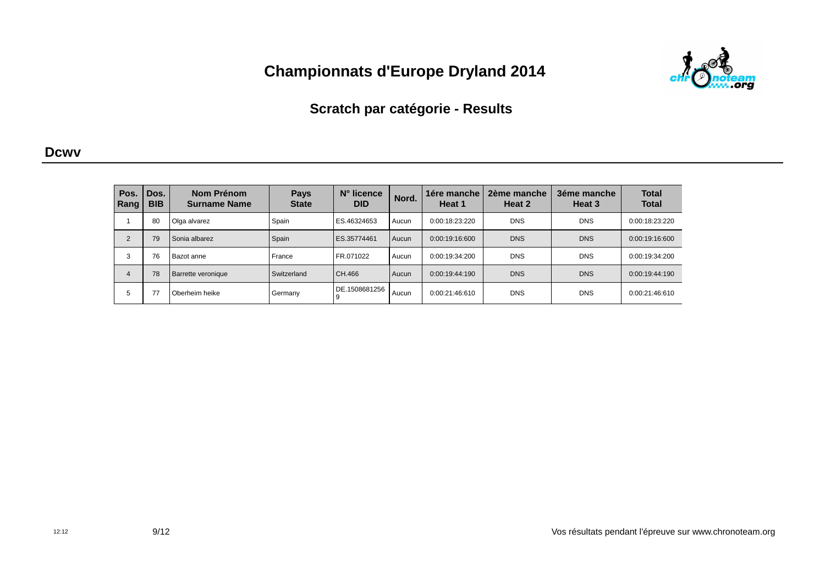

### **Scratch par catégorie - Results**

#### **Dcwv**

| Pos.<br>Rang | Dos.<br><b>BIB</b> | Nom Prénom<br><b>Surname Name</b> | <b>Pays</b><br><b>State</b> | $N^{\circ}$ licence<br><b>DID</b> | Nord. | 1ére manche<br>Heat 1 | 2ème manche<br>Heat 2 | 3éme manche<br>Heat 3 | <b>Total</b><br><b>Total</b> |
|--------------|--------------------|-----------------------------------|-----------------------------|-----------------------------------|-------|-----------------------|-----------------------|-----------------------|------------------------------|
|              | 80                 | I Olga alvarez                    | Spain                       | ES.46324653                       | Aucun | 0:00:18:23:220        | <b>DNS</b>            | <b>DNS</b>            | 0:00:18:23:220               |
| 2            | 79                 | Sonia albarez                     | Spain                       | ES.35774461                       | Aucun | 0:00:19:16:600        | <b>DNS</b>            | <b>DNS</b>            | 0:00:19:16:600               |
| 3            | 76                 | i Bazot anne                      | France                      | FR.071022                         | Aucun | 0:00:19:34:200        | <b>DNS</b>            | <b>DNS</b>            | 0:00:19:34:200               |
| 4            | 78                 | Barrette veronique                | Switzerland                 | CH.466                            | Aucun | 0:00:19:44:190        | <b>DNS</b>            | <b>DNS</b>            | 0:00:19:44:190               |
| 5            |                    | Oberheim heike                    | Germany                     | DE.1508681256                     | Aucun | 0:00:21:46:610        | <b>DNS</b>            | <b>DNS</b>            | 0:00:21:46:610               |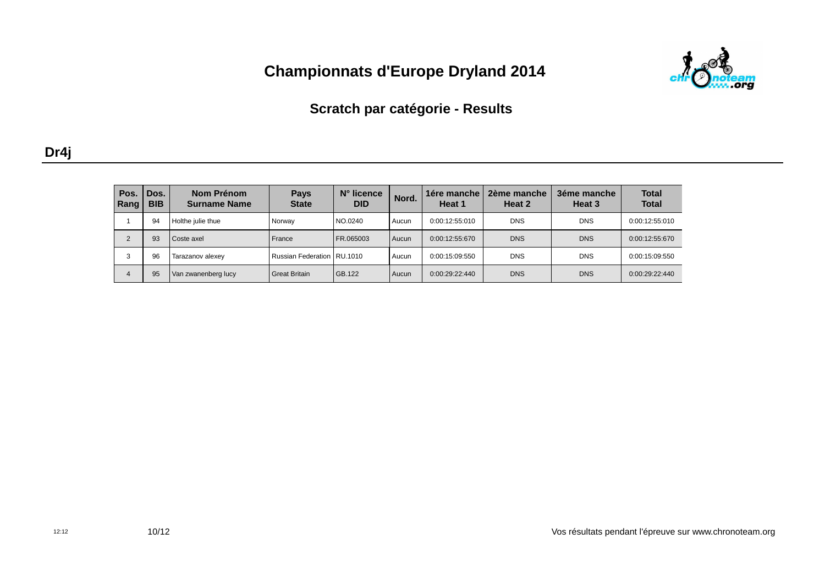

## **Scratch par catégorie - Results**

| ۰, |  |
|----|--|
|    |  |

| Pos.<br>Rang | Dos.<br><b>BIB</b> | Nom Prénom<br><b>Surname Name</b> | <b>Pays</b><br><b>State</b>  | N° licence<br><b>DID</b> | Nord. | 1ére manche<br>Heat 1 | 2ème manche<br>Heat 2 | 3éme manche<br>Heat 3 | <b>Total</b><br><b>Total</b> |
|--------------|--------------------|-----------------------------------|------------------------------|--------------------------|-------|-----------------------|-----------------------|-----------------------|------------------------------|
|              | 94                 | Holthe julie thue                 | Norway                       | NO.0240                  | Aucun | 0:00:12:55:010        | <b>DNS</b>            | <b>DNS</b>            | 0:00:12:55:010               |
|              | 93                 | Coste axel                        | France                       | FR.065003                | Aucun | 0:00:12:55:670        | <b>DNS</b>            | <b>DNS</b>            | 0:00:12:55:670               |
|              | 96                 | Tarazanov alexey                  | Russian Federation   RU.1010 |                          | Aucun | 0:00:15:09:550        | <b>DNS</b>            | <b>DNS</b>            | 0:00:15:09:550               |
| 4            | 95                 | Van zwanenberg lucy               | <b>Great Britain</b>         | l GB.122                 | Aucun | 0:00:29:22:440        | <b>DNS</b>            | <b>DNS</b>            | 0:00:29:22:440               |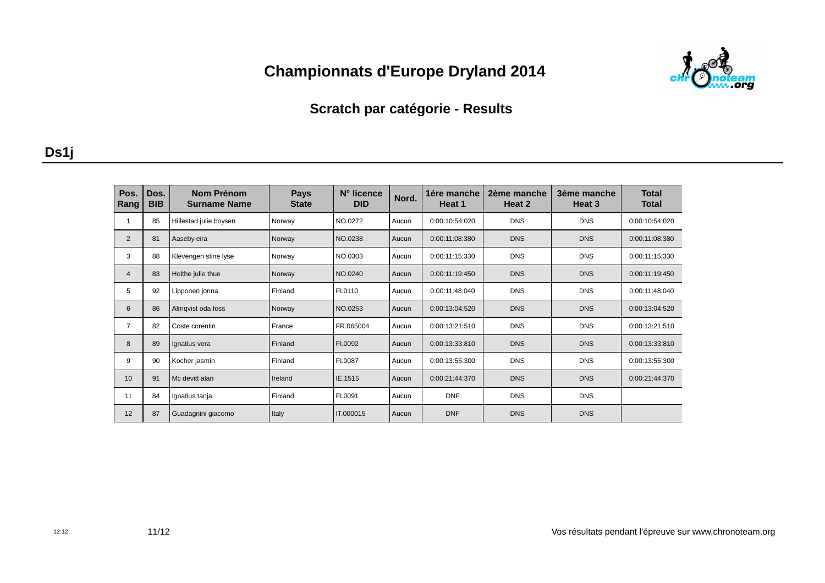

### **Scratch par catégorie - Results**

### **Ds1j**

| Pos.<br>Rang    | Dos.<br><b>BIB</b> | Nom Prénom<br><b>Surname Name</b> | <b>Pays</b><br><b>State</b> | N° licence<br><b>DID</b> | Nord. | 1ére manche<br>Heat 1 | 2ème manche<br>Heat 2 | 3éme manche<br>Heat 3 | <b>Total</b><br><b>Total</b> |
|-----------------|--------------------|-----------------------------------|-----------------------------|--------------------------|-------|-----------------------|-----------------------|-----------------------|------------------------------|
|                 | 85                 | Hillestad julie boysen            | Norway                      | NO.0272                  | Aucun | 0:00:10:54:020        | <b>DNS</b>            | <b>DNS</b>            | 0:00:10:54:020               |
| 2               | 81                 | Aaseby eira                       | Norway                      | NO.0238                  | Aucun | 0:00:11:08:380        | <b>DNS</b>            | <b>DNS</b>            | 0:00:11:08:380               |
| 3               | 88                 | Klevengen stine lyse              | Norway                      | NO.0303                  | Aucun | 0:00:11:15:330        | <b>DNS</b>            | <b>DNS</b>            | 0:00:11:15:330               |
| $\overline{4}$  | 83                 | Holthe julie thue                 | Norway                      | NO.0240                  | Aucun | 0:00:11:19:450        | <b>DNS</b>            | <b>DNS</b>            | 0:00:11:19:450               |
| 5               | 92                 | Lipponen jonna                    | Finland                     | FI.0110                  | Aucun | 0:00:11:48:040        | <b>DNS</b>            | <b>DNS</b>            | 0:00:11:48:040               |
| 6               | 86                 | Almqvist oda foss                 | Norway                      | NO.0253                  | Aucun | 0:00:13:04:520        | <b>DNS</b>            | <b>DNS</b>            | 0:00:13:04:520               |
| $\overline{7}$  | 82                 | Coste corentin                    | France                      | FR.065004                | Aucun | 0:00:13:21:510        | <b>DNS</b>            | <b>DNS</b>            | 0:00:13:21:510               |
| 8               | 89                 | Ignatius vera                     | Finland                     | FI.0092                  | Aucun | 0:00:13:33:810        | <b>DNS</b>            | <b>DNS</b>            | 0:00:13:33:810               |
| 9               | 90                 | Kocher jasmin                     | Finland                     | FI.0087                  | Aucun | 0:00:13:55:300        | <b>DNS</b>            | <b>DNS</b>            | 0:00:13:55:300               |
| 10 <sup>1</sup> | 91                 | Mc devitt alan                    | Ireland                     | IE.1515                  | Aucun | 0:00:21:44:370        | <b>DNS</b>            | <b>DNS</b>            | 0:00:21:44:370               |
| 11              | 84                 | Ignatius tanja                    | Finland                     | FI.0091                  | Aucun | <b>DNF</b>            | <b>DNS</b>            | <b>DNS</b>            |                              |
| 12              | 87                 | Guadagnini giacomo                | <b>Italy</b>                | IT.000015                | Aucun | <b>DNF</b>            | <b>DNS</b>            | <b>DNS</b>            |                              |